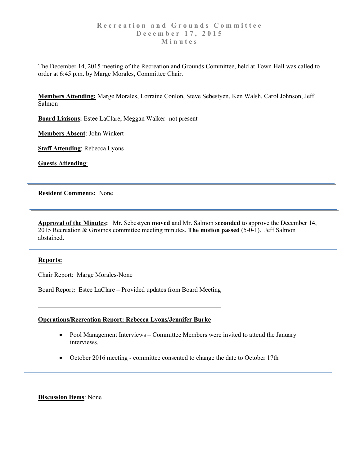The December 14, 2015 meeting of the Recreation and Grounds Committee, held at Town Hall was called to order at 6:45 p.m. by Marge Morales, Committee Chair.

**Members Attending:** Marge Morales, Lorraine Conlon, Steve Sebestyen, Ken Walsh, Carol Johnson, Jeff Salmon

**Board Liaisons:** Estee LaClare, Meggan Walker- not present

**Members Absent**: John Winkert

**Staff Attending**: Rebecca Lyons

**Guests Attending**:

# **Resident Comments:** None

**Approval of the Minutes:** Mr. Sebestyen **moved** and Mr. Salmon **seconded** to approve the December 14, 2015 Recreation & Grounds committee meeting minutes. **The motion passed** (5-0-1). Jeff Salmon abstained.

### **Reports:**

Chair Report: Marge Morales-None

Board Report**:** Estee LaClare – Provided updates from Board Meeting

### **Operations/Recreation Report: Rebecca Lyons/Jennifer Burke**

- Pool Management Interviews Committee Members were invited to attend the January interviews.
- October 2016 meeting committee consented to change the date to October 17th

### **Discussion Items**: None